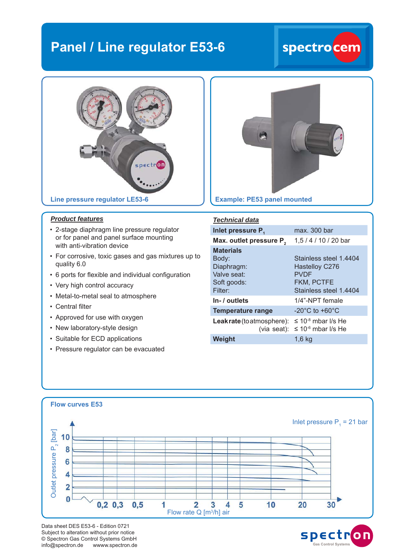### **Panel / Line regulator E53-6**

## spectro<mark>cem</mark>



#### *Product features*

- 2-stage diaphragm line pressure regulator or for panel and panel surface mounting with anti-vibration device
- For corrosive, toxic gases and gas mixtures up to quality 6.0
- 6 ports for flexible and individual configuration
- Very high control accuracy
- Metal-to-metal seal to atmosphere
- Central filter
- Approved for use with oxygen
- New laboratory-style design
- Suitable for ECD applications
- Pressure regulator can be evacuated



| <b>Technical data</b>                                        |                                                         |
|--------------------------------------------------------------|---------------------------------------------------------|
| Inlet pressure P.                                            | max. 300 bar                                            |
| Max. outlet pressure P <sub>2</sub>                          | 1,5 / 4 / 10 / 20 bar                                   |
| <b>Materials</b><br>Body:<br>Diaphragm:<br>Valve seat:       | Stainless steel 1.4404<br>Hastelloy C276<br><b>PVDF</b> |
| Soft goods:<br>Filter:                                       | <b>FKM, PCTFE</b><br>Stainless steel 1.4404             |
| In- / outlets                                                | 1/4"-NPT female                                         |
| <b>Temperature range</b>                                     | $-20^{\circ}$ C to $+60^{\circ}$ C                      |
| <b>Leak rate</b> (to atmosphere): $\leq 10^{-8}$ mbar I/s He | (via seat): $\leq 10^{-6}$ mbar I/s He                  |
| Weight                                                       | $1,6$ kg                                                |



Data sheet DES E53-6 - Edition 0721 Subject to alteration without prior notice © Spectron Gas Control Systems GmbH info@spectron.de wwww.spectron.de